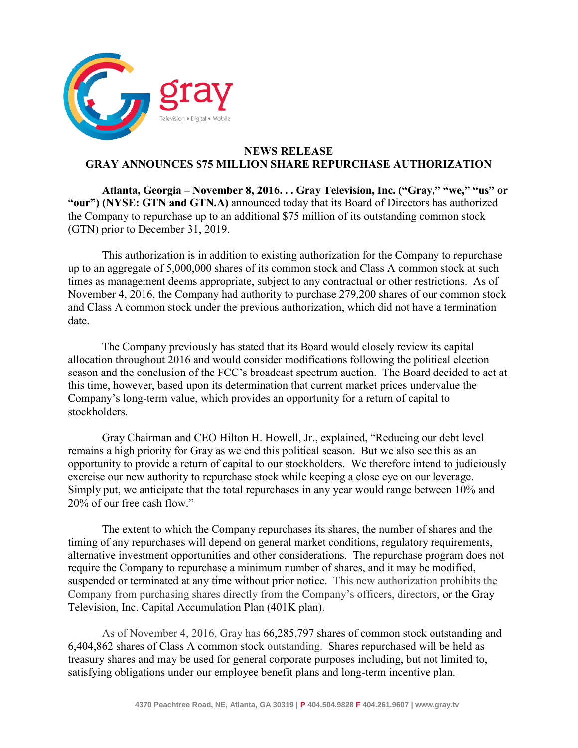

## **NEWS RELEASE GRAY ANNOUNCES \$75 MILLION SHARE REPURCHASE AUTHORIZATION**

**Atlanta, Georgia – November 8, 2016. . . Gray Television, Inc. ("Gray," "we," "us" or "our") (NYSE: GTN and GTN.A)** announced today that its Board of Directors has authorized the Company to repurchase up to an additional \$75 million of its outstanding common stock (GTN) prior to December 31, 2019.

This authorization is in addition to existing authorization for the Company to repurchase up to an aggregate of 5,000,000 shares of its common stock and Class A common stock at such times as management deems appropriate, subject to any contractual or other restrictions. As of November 4, 2016, the Company had authority to purchase 279,200 shares of our common stock and Class A common stock under the previous authorization, which did not have a termination date.

The Company previously has stated that its Board would closely review its capital allocation throughout 2016 and would consider modifications following the political election season and the conclusion of the FCC's broadcast spectrum auction. The Board decided to act at this time, however, based upon its determination that current market prices undervalue the Company's long-term value, which provides an opportunity for a return of capital to stockholders.

Gray Chairman and CEO Hilton H. Howell, Jr., explained, "Reducing our debt level remains a high priority for Gray as we end this political season. But we also see this as an opportunity to provide a return of capital to our stockholders. We therefore intend to judiciously exercise our new authority to repurchase stock while keeping a close eye on our leverage. Simply put, we anticipate that the total repurchases in any year would range between 10% and 20% of our free cash flow."

The extent to which the Company repurchases its shares, the number of shares and the timing of any repurchases will depend on general market conditions, regulatory requirements, alternative investment opportunities and other considerations. The repurchase program does not require the Company to repurchase a minimum number of shares, and it may be modified, suspended or terminated at any time without prior notice. This new authorization prohibits the Company from purchasing shares directly from the Company's officers, directors, or the Gray Television, Inc. Capital Accumulation Plan (401K plan).

As of November 4, 2016, Gray has 66,285,797 shares of common stock outstanding and 6,404,862 shares of Class A common stock outstanding. Shares repurchased will be held as treasury shares and may be used for general corporate purposes including, but not limited to, satisfying obligations under our employee benefit plans and long-term incentive plan.